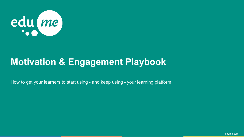

# **Motivation & Engagement Playbook**

How to get your learners to start using - and keep using - your learning platform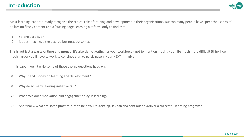

Most learning leaders already recognise the critical role of training and development in their organisations. But too many people have spent thousands of dollars on flashy content and a 'cutting edge' learning platform, only to find that

- 1. no one uses it, or
- 2. it doesn't achieve the desired business outcomes.

This is not just a **waste of time and money**: it's also **demotivating** for your workforce - not to mention making your life much more difficult (think how much harder you'll have to work to convince staff to participate in your NEXT initiative).

In this paper, we'll tackle some of these thorny questions head on:

- $\triangleright$  Why spend money on learning and development?
- ➢ Why do so many learning initiative **fail**?
- ➢ What **role** does motivation and engagement play in learning?
- ➢ And finally, what are some practical tips to help you to **develop**, **launch** and continue to **deliver** a successful learning program?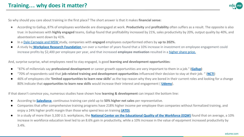

So why should you care about training in the first place? The short answer is that it makes **financial sense:**

- According to Gallup, 87% of employees worldwide are disengaged at work. **Productivity** and **profitability** often suffers as a result. The opposite is also true: in businesses with **highly engaged** teams, Gallup found that profitability increased by 21%, sales productivity by 20%, output quality by 40%, and absenteeism went down by 41%.
- In a [Dale Carnegie and MSW s](https://www.inc.com/rhett-power/science-proves-what-dale-carnegie-knew-all-along-about-motivation.html)tudy, companies with **engaged** employees outperformed others by **up to 202%.**
- A study by **[Workplace Research Foundation](https://www.elevatepoint.com/perspectives/5-statistics-on-the-roi-of-employee-engagement/)** run over a number of years found that a 10% increase in investment on employee engagement could increase profits by \$2,400 per employee per year, and that increased **employee motivation** resulted in a [higher share price.](https://www.forbes.com/2009/08/23/employee-motivation-stocks-intelligent-investing-returns.html#32fe33cf3253)

And, surprise surprise, what employees need to stay engaged, is good **learning and development opportunities**:

- "87% of millennials say **professional development** or career growth opportunities are very important to them in a job." **([Gallup](https://www.gallup.com/workplace/236477/millennials-work-life.aspx))**
- "70% of respondents said that **job-related training and development opportunities** influenced their decision to stay at their job. " (**[NCTI](https://ncti-marketing-files-prd.s3-us-west-2.amazonaws.com/documents/article/what-gap-whitepaper.pdf)**)
- 46% of employees cite **'limited opportunities to learn new skills'** as the top reason why they are bored in their current roles and looking for a change 80% indicate that **opportunities to learn new skills** would increase their interest and engagement ( **[Udemy](https://info.udemy.com/rs/273-CKQ-053/images/2016_Udemy_Workplace_Boredom_Study.pdf)**).

If that doesn't convince you, numerous studies have shown how **learning & development** can impact the bottom line:

- According to **[Salesforce](https://www.salesforce.com/blog/2015/08/how-create-high-performing-sales-culture.html)**, continuous training can yield up to **50% higher net sales** per representative.
- Companies that offer comprehensive training programs have 218% higher income per employee than companies without formalized training, and enjoy a 24% higher profit margin than those who spend less on training **[\(ATD\)](https://www.huffingtonpost.com/emad-rizkalla/not-investing-in-employee_b_5545222.html)**.
- In a study of more than 3,100 U.S. workplaces, the **[National Center on the Educational Quality of the Workforce \(EQW\)](https://www.nytimes.com/1995/05/14/us/study-ties-educational-gains-to-more-productivity-growth.html)** found that on average, a 10% increase in workforce education level led to an 8.6% gain in productivity, while a 10% increase in the value of equipment increased productivity by 3.4%.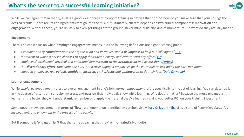

While we can agree that in theory, L&D is a good idea, there are plenty of training initiatives that flop. So how do you make sure that yours brings the desired results? There are lots of ingredients that go into the mix, but ultimately, success depends on two critical components: **motivation** and **engagement**. Without these, you're unlikely to even get things off the ground, never mind build any kind of momentum.. So what do they actually mean?

#### **Engagement**

There's no consensus on what **'employee engagement'** means, but the following definitions are a good starting point:

- *a combination of commitment to the organisation and its values, and a willingness to help out colleagues (*[CIPD\)](http://www.cipd.co.uk/subjects/empreltns/general/empengmt.htm)
- *the extent to which a person chooses to apply their talent, energy and care toward any effort [\(TD\)](https://www.td.org/insights/what-is-engagement)*
- *● employees' intellectual, physical and emotional commitment to the organization and its mission. ([Forbes](https://www.forbes.com/sites/forbescoachescouncil/2016/08/18/getting-serious-about-employee-enagement/#4fab94f65ac4))*
- *● the 'discretionary effort' that someone puts into a task: engaged employees go the extra mile vs just doing the bare minimum*
- *● engaged employees feel valued, confident, inspired, enthusiastic and empowered to do their jobs ([Dale Carnegie\)](https://www.dalecarnegie.com/en/resources/emotional-drivers-of-employee-engagement)*

#### **Learner engagement**

While *employee engagement* refers to overall engagement in one's job, *learner engagement* refers specifically to the act of learning. We can describe it as the degree of **attention, curiosity, interest, and passion** that individuals show while learning. Why does it matter? Because the **more engaged** a learner is, the better they will **understand, remember** and **apply** the material they've learned - giving you better ROI on your training investment.

Some people view engagement in terms of '**flow'**, a phenomenon identified by psychologist [Mihaly Csikszentmihalyi](https://positivepsychologyprogram.com/mihaly-csikszentmihalyi-father-of-flow/) as a state of "*energized focus, full involvement, and enjoyment in the process of the activity".*

But if someone is **'engaged',** isn't that the same as saying that they're **'motivated'**? Not quite.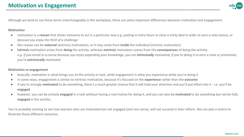

Although we tend to use these terms interchangeably in the workplace, there are some important differences between motivation and engagement.

#### **Motivation**

- motivation is a **reason** that drives someone to act in a particular way *e.g. putting in extra hours to close a tricky deal in order to earn a sales bonus, or because you enjoy the thrill of a challenge*
- this reason can be **external** (extrinsic motivation), or it may come from **inside** the individual (intrinsic motivation)
- **intrinsic** motivation arises from **doing** the activity, whereas **extrinsic** motivation comes from the **consequences** of doing the activity *e.g. if you enroll in a course because you enjoy expanding your knowledge, you are intrinsically motivated; if you're doing it to earn a raise or promotion, you're extrinsically motivated*

#### **Motivation vs engagement**

- basically, motivation is what brings you to the activity or task, while engagement is what you experience while you're doing it
- in some ways, engagement is similar to intrinsic motivation, because it's focused on the **experience** rather than the **outcome**
- if you're strongly **motivated** to do something, there's a much greater chance that it will hold your attention and you'll put effort into it i.e. you'll be **engaged**
- **●** however, you can be actively **engaged** in a task without having a real motive for doing it, and you can also be **motivated** to do something but not be fully **engaged** in the activity.

You're probably starting to see how learners who are motivated but not engaged (and vice versa), will not succeed in their efforts. We can plot a matrix to illustrate these different scenarios.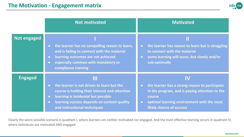

|                | <b>Not motivated</b>                                                                                                                                                                                                                     | <b>Motivated</b>                                                                                                                                                                 |
|----------------|------------------------------------------------------------------------------------------------------------------------------------------------------------------------------------------------------------------------------------------|----------------------------------------------------------------------------------------------------------------------------------------------------------------------------------|
| Not engaged    | the learner has no compelling reason to learn,<br>$\bullet$<br>and is failing to connect with the material<br>learning outcomes are not achieved<br>$\bullet$<br>especially common with mandatory or<br>$\bullet$<br>compliance training | Ш<br>the learner has reason to learn but is struggling<br>$\bullet$<br>to connect with the material<br>some learning will occur, but slowly and/or<br>$\bullet$<br>sub-optimally |
| <b>Engaged</b> | $\mathbf{III}$<br>the learner is not driven to learn but the<br>course is holding their interest and attention                                                                                                                           | IV<br>the learner has a strong reason to participate<br>$\bullet$<br>in the program, and is paying attention to the                                                              |
|                | learning is incidental but possible<br>$\bullet$<br>learning success depends on content quality<br>$\bullet$<br>and instructional techniques                                                                                             | course<br>optimal learning environment with the most<br>$\bullet$<br>likely chance of success                                                                                    |

Clearly the worst possible scenario is quadrant I, where learners are neither motivated nor engaged. And the most effective learning occurs in quadrant IV, where individuals are motivated AND engaged.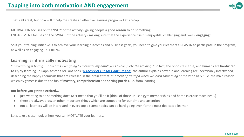

That's all great, but how will it help me create an effective learning program? Let's recap:

MOTIVATION focuses on the 'WHY' of the activity - giving people a good **reason** to do something. ENGAGEMENT focuses on the 'WHAT' of the activity - making sure that the experience itself is enjoyable, challenging and, well - **engaging**!

So if your training initiative is to achieve your learning outcomes and business goals, you need to give your learners a REASON to participate in the program, as well as an engaging EXPERIENCE.

### **Learning is intrinsically motivating**

*"But learning is boring… how am I ever going to motivate my employees to complete the training?"* In fact, the opposite is true, and humans are **hardwired to enjoy learning**. In Raph Koster's brilliant book '*[A Theory of Fun for Game Design](https://www.learningsolutionsmag.com/articles/848/well-read-a-theory-of-fun-for-game-design)*', the author explains how fun and learning are inextricably intertwined, describing the happy chemicals that are released in the brain at that *"moment of triumph when we learn something or master a task.*" I.e. the main reason we enjoy games is due to the fun of **mastery**, **comprehension** and **solving puzzles**, i.e. from learning!

#### **But before you get too excited...**

- just wanting to do something does NOT mean that you'll do it (think of those unused gym memberships and home exercise machines...)
- there are always a dozen other important things which are competing for our time and attention
- not all learners will be interested in every topic ; some topics can be hard-going even for the most dedicated learner

Let's take a closer look at how you can MOTIVATE your learners.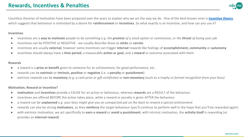

Countless theories of motivation have been proposed over the years to explain why we act the way we do. One of the best-known ones is **[incentive theory](https://www.verywellmind.com/the-incentive-theory-of-motivation-2795382)**, which suggests that behaviour is motivated by a desire for **reinforcement** or **incentives**. So what exactly is an incentive, and how can you use it?

#### **Incentives**

- incentives are a **way to motivate** people to do something *e.g. the promise of a stock option or commission, or the threat of losing your job*
- incentives can be POSITIVE or NEGATIVE we usually describe these as **sticks** or **carrots**
- incentives are usually **external**, however some incentives can trigger **internal** rewards like feelings of **accomplishment, community** or **autonomy**
- incentives should always have a **time period**, a measurable **action or goal**, and a **reward** or outcome associated with them

#### **Rewards**

- a reward is a **prize or benefit** given to someone for an achievement, for good performance, etc.
- rewards can be **extrinsic** or **intrinsic, positive** or **negative** (i.e. a **penalty** or **punishment**)
- extrinsic rewards can be **monetary** *(e.g. a cash prize or gift certificate)* or **non-monetary** *(such as a trophy or formal recognition from your boss)*

#### **Motivation, Reward or Incentive?**

- **motivation** and **incentives** provide a CAUSE for an action or behaviour, whereas **rewards** are a RESULT of the behaviour
- incentives are offered BEFORE the action takes place, while a reward or penalty is given AFTER the behaviour
- a reward can be **unplanned** *e.g. your boss might give you an unexpected pat on the back to reward a special achievement*
- rewards can also be strong **motivators**, as they **reinforce** the target behaviour (you'll continue to perform well in the hope that you'll be rewarded again)
- with extrinsic motivation, we act specifically to **earn a reward** or **avoid a punishment**; with intrinsic motivation, the **activity itself** is rewarding (or provides an **internal reward**)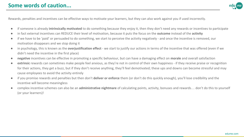

Rewards, penalties and incentives can be effective ways to motivate your learners, but they can also work against you if used incorrectly.

- if someone is already **intrinsically motivated** to do something because they enjoy it, then they don't need any rewards or incentives to participate
- in fact external incentives can REDUCE their level of motivation, because it puts the focus on the **outcome** instead of the **activity**
- if we have to be 'paid' or persuaded to do something, we start to perceive the activity negatively and once the incentive is removed, our motivation disappears and we stop doing it
- in psychology, this is known as the **overjustification effect**  we start to justify our actions in terms of the incentive that was offered (even if we didn't need the incentive in the first place)
- **negative** incentives can be effective in promoting a specific behaviour, but can have a damaging effect on **morale** and overall satisfaction
- **extrinsic** rewards can sometimes make people feel anxious, as they're not in control of their own happiness if they receive praise or recognition for their actions, they get a buzz, but if they don't receive anything, they'll feel demotivated; these ups and downs can become stressful and may cause employees to avoid the activity entirely
- if you promise rewards and penalties but then don't **deliver or enforce** them (or don't do this quickly enough), you'll lose credibility and the incentive will become meaningless
- complex incentive schemes can also be an **administrative nightmare** of calculating points, activity, bonuses and rewards… don't do this to yourself (or your learners)!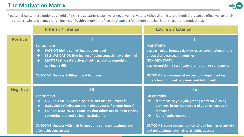## **The Motivation Matrix**



You can visualise these options as a grid of intrinsic vs extrinsic, positive vs negative motivators. Although a mixture of motivators can be effective, generally the greatest wins are in **quadrant I: Intrinsic - Positive** motivators (see the [Appendix](#page-16-0) for a more detailed list of triggers and motivators).

|                 | <b>Intrinsic / Internal</b>                                                                                                                                                                                                                                                                                                                                                         | <b>Extrinsic / External</b>                                                                                                                                                                                                                                                                                            |
|-----------------|-------------------------------------------------------------------------------------------------------------------------------------------------------------------------------------------------------------------------------------------------------------------------------------------------------------------------------------------------------------------------------------|------------------------------------------------------------------------------------------------------------------------------------------------------------------------------------------------------------------------------------------------------------------------------------------------------------------------|
| <b>Positive</b> | For example:<br><b>PASSION (doing something that you love)</b><br>❤<br>SELF-VALIDATION (the feeling of doing something worthwhile)<br>♦<br>MASTERY (the satisfaction of getting good at something,<br>❖<br>gaining a skill)<br><b>OUTCOME: Success, fulfilment and happiness</b>                                                                                                    | <b>MONETARY:</b><br>e.g. cash prize, bonus, salary increase, commission, phone<br>or travel allowance, gift voucher<br><b>NON-MONETARY:</b><br>e.g. recognition, a certificate, promotion, or company car<br><b>OUTCOME: some sense of success, but dependant on</b><br>others for continued happiness and fulfillment |
| <b>Negative</b> | Ш<br>For example:<br>FEAR OF FAILURE (avoiding a task because you might fail)<br>◈<br><b>INSECURITY (feeling uncertain about yourself or your future)</b><br>◈<br>FEAR OF MISSING OUT (anxiety that others are doing or getting<br>◈<br>something that you've been excluded from)<br><b>OUTCOME: Success with high burnout and some unhappiness even</b><br>after achieving success | IV<br>For example:<br>fear of losing your job, getting a pay cut / losing<br>earnings, losing the respect of your colleagues or<br>manager<br>fear of embarrassment<br><b>OUTCOME: some success, but continued feelings of anxiety</b><br>and unhappiness, even after attaining success<br>edume cr                    |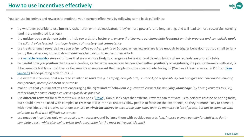

You can use incentives and rewards to motivate your learners effectively by following some basic guidelines:

- try wherever possible to use **intrinsic** rather than extrinsic motivators; they're more powerful and long-lasting, and will lead to more successful learning (and more motivated learners)
- the **quicker** you can **demonstrate** intrinsic rewards, the better *e.g. ensure that learners get immediate feedback on their progress and can quickly apply the skills they've learned, to trigger feelings of mastery and competence*
- use treats or **small rewards** like a *fun prize, coffee voucher, points or badges*: when rewards are **large enough** to trigger behaviour but **too small** to fully justify the behaviour, individuals will seek another reason to explain their efforts
- use [variable rewards](https://techcrunch.com/2012/03/25/want-to-hook-your-users-drive-them-crazy/) research shows that we are more likely to change our behaviour and develop habits when rewards are **unpredictable**
- be careful how you **position** the task or incentive, as the same reward can be perceived either **positively** or **negatively**; if a job is extremely well-paid, is it because it's highly competitive, or because it's so unpleasant that people must be coerced into taking it? (We can all learn a lesson in PR from [Tom](https://medium.com/@thenthgen/the-most-important-life-lesson-from-tom-sawyer-e92f86f6afb3) [Sawyer's](https://medium.com/@thenthgen/the-most-important-life-lesson-from-tom-sawyer-e92f86f6afb3) fence-painting adventures...)
- use external incentives that also feed an intrinsic reward *e.g. a trophy, new job title, or added job responsibility can also give the individual a sense of competence, accomplishment or purpose*
- make sure that your incentives are encouraging the **right kind of behaviour** *e.g. reward learners for applying knowledge (by linking rewards to KPIs), rather than for completing a course as quickly as possible*
- use **different rewards** for different tasks: in his book "*[Drive](https://www.amazon.co.uk/dp/1594484805)*", Daniel Pink says that external rewards can motivate us to perform **routine** or boring tasks, but should never be used with complex or **creative** tasks; intrinsic rewards allow people to focus on the experience, so they're more likely to come up with novel ideas and creative solutions *e.g. use extrinsic incentives to encourage your sales team to memorise a list of prices, but not to come up with solutions to deal with difficult customers*
- use negative incentives only when absolutely necessary, and **balance** them with positive rewards *(e.g. impose a small penalty for staff who don't complete a test, while also giving prizes and recognition for the most active participants).*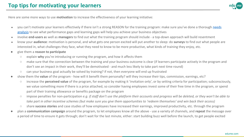

Here are some more ways to use **motivation** to increase the effectiveness of your learning initiative:

- you can't motivate your learners effectively if there isn't a strong REASON for the training program: make sure you've done a thorough [needs](https://hr-guide.com/data/G510.htm) [analysis](https://hr-guide.com/data/G510.htm) to see what performance gaps and learning gaps will help you achieve your business objectives
- involve **end-users a**s well as **managers** to find out what the training program should include a top-down approach will build resentment
- know your **audience**: motivation is personal, and what gets one person excited will put another to sleep: do **surveys** to find out what people are interested in, what challenges they face, what they need to know to be more productive, what kinds of training they enjoy, etc.
- give them a **reason to participate**
	- explain **why** you're introducing or running the program, and how it affects them
	- make sure that the connection between the training and your business outcome is clear (if learners participate actively in the program and don't see an impact in their work, they'll be demotivated - and much less likely to take part next time round)
	- can your business goal actually be solved by training? if not, then everyone will end up frustrated
- show them the **value** of the program how will it benefit them personally? will they increase their tips, commission, earnings, etc?
	- increase the **perceived value** of the program, for example by making it 'invitation only', or by setting criteria for participation; subconsciously, we value something more if there is a price attached, so consider having employees invest some of their free time in the program, or spend part of their training allowance or benefits package on the program
	- impose penalties for non-participation *e.g. if staff don't use the platform their accounts and progress will be deleted, or they won't be able to take part in other incentive schemes (but make sure you give them opportunities to 'redeem themselves' and win back their access)*
	- share **success stories** and case studies of how employees have increased their earnings, improved productivity, etc. through the program
- plan a **communication campaign** around the program, to let employees know all the above use a variety of channels, and **repeat** the message over a period of time to ensure it gets through; don't wait for the last minute, either: start building buzz well before the launch, to get people excited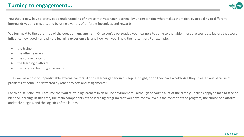## **Turning to engagement...**



You should now have a pretty good understanding of how to motivate your learners, by understanding what makes them tick, by appealing to different internal drives and triggers, and by using a variety of different incentives and rewards.

We turn next to the other side of the equation: **engagement**. Once you've persuaded your learners to come to the table, there are countless factors that could influence how good - or bad - the **learning experience i**s, and how well you'll hold their attention. For example:

- the trainer
- the other learners
- the course content
- the learning platform
- the physical learning environment

… as well as a host of unpredictable external factors: did the learner get enough sleep last night, or do they have a cold? Are they stressed out because of problems at home, or distracted by other projects and assignments?

For this discussion, we'll assume that you're training learners in an online environment - although of course a lot of the same guidelines apply to face to face or blended learning. In this case, the main components of the learning program that you have control over is the content of the program, the choice of platform and technologies, and the logistics of the launch.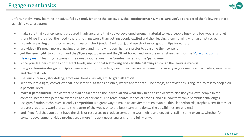

Unfortunately, many learning initiatives fail by simply ignoring the basics, e.g. the **learning content.** Make sure you've considered the following before launching *your* program:

- make sure that your **content** is prepared in advance, and that you've developed **enough material** to keep people busy for a few weeks, and let them **binge** if they feel the need - there's nothing worse than getting people excited and then leaving them hanging with an empty screen
- use **microlearning** principles: make your lessons short (under 5 minutes), and use short messages and tips for variety
- use **video** it's much more engaging than text, and it's how modern humans prefer to consume their content
- get the **level** right: too difficult and they'll give up, too easy and they'll get bored, and won't learn anything. aim for the '*Zone of Proximal [Development'](https://www.edsurge.com/news/2017-08-01-let-learners-get-in-their-zone-of-proximal-development)*: learning happens in the sweet spot between the '**comfort zone**' and the '**panic zone'**
- since your learners may be at different levels, use optional **scaffolding** and **variable pathways** through the learning material
- use good **learning design principles**: learner-centric, interactive, clear objectives and explanations, variety in your media and activities, summaries and checklists, etc.
- use music, humor, storytelling, emotional hooks, visuals, etc. to **grab attention**
- keep your text light, **conversational**, and informal as far as possible, where appropriate use emojis, abbreviations, slang, etc. to talk to people on a personal level
- make it **personalised** the content should be tailored to the individual and what they need to know; try to also use your own people in the content: incorporate personal examples and experiences, use team photos, videos or stories, and ask how they solve particular challenges
- use **gamification** techniques: friendly **competition** is a great way to make an activity more enjoyable think leaderboards, trophies, certificates, or progress reports; award a prize to the learner of the week, or to the best team or region… the possibilities are endless!
- and if you feel that you don't have the skills or resources to produce something worthwhile and engaging, call in some **experts**, whether for content development, video production, a more in-depth needs analysis, or the full Monty.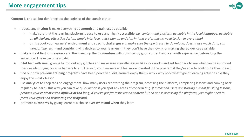

**Content** is critical, but don't neglect the **logistics** of the launch either:

- reduce any **friction** & make everything as **smooth** and **painless** as possible
	- make sure that the learning platform is **easy to use** and highly **accessible** *e.g. content and platform available in the local language, available on all devices, attractive design, simple interface, quick sign up and sign in (and preferably no need to sign in every time)*
	- think about your learners' **environment** and specific **challenges** *e.g. make sure the app is easy to download, doesn't use much data, can work offline, etc.* - and consider giving devices to your learners (if they don't have their own), or making shared devices available
- make a great **first impression**  and then keep up the **momentum** with consistently good content and a smooth experience; before long the learning will have become a habit
- **pilot test** with small groups to iron out any glitches and make sure everything runs like clockwork and get feedback to see what can be improved (besides identifying possible barriers to a full launch, your learners will feel more invested in the program if they're able to **contribute** their ideas.)
- find out how **previous training program**s have been perceived: did learners enjoy them? why / why not? what type of learning activities did they enjoy the most / least?
- use **analytics** to keep tabs on engagement: how many users are starting the program, accessing the platform, completing lessons and coming back regularly to learn - this way you can take quick action if you spot any areas of concern *(e.g. if almost all users are starting but not finishing lessons, perhaps your content is too difficult or too long; if you've got fantastic lesson content but no one is accessing the platform, you might need to focus your efforts on promoting the program).*
- *●* promote **autonomy** by giving learners a choice over **what and when** they learn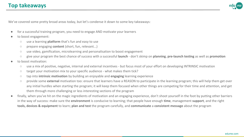

We've covered some pretty broad areas today, but let's condense it down to some key takeaways:

- for a successful training program, you need to engage AND motivate your learners
- to boost engagement:
	- use a learning **platform** that's fun and easy to use
	- prepare engaging **content** (short, fun, relevant...)
	- use video, gamification, microlearning and personalisation to boost engagement
	- give your program the best chance of success with a successful **launch** don't skimp on **planning**, **pre-launch testing** as well as **promotion**
- to boost motivation:
	- use a mix of positive, negative, internal and external incentives but focus most of your effort on developing INTRINSIC motivation
	- target your motivation mix to your specific audience what makes them tick?
	- tap into **intrinsic motivation** by building an enjoyable and **engaging** learning experience
	- provide some **external** motivation too: ensure that learners have a REASON to participate in the learning program; this will help them get over any initial hurdles when starting the program; it will keep them focused when other things are competing for their time and attention, and get them through more challenging or less interesting sections of the program
- finally, when you've hit on the magic ingredients of motivation and an engaging experience, don't shoot yourself in the foot by putting other barriers in the way of success: make sure the **environment** is conducive to learning; that people have enough **time**, management **support**, and the right **tools, devices & equipment** to learn; **plan and test** the program carefully, and **communicate** a **consistent message** about the program